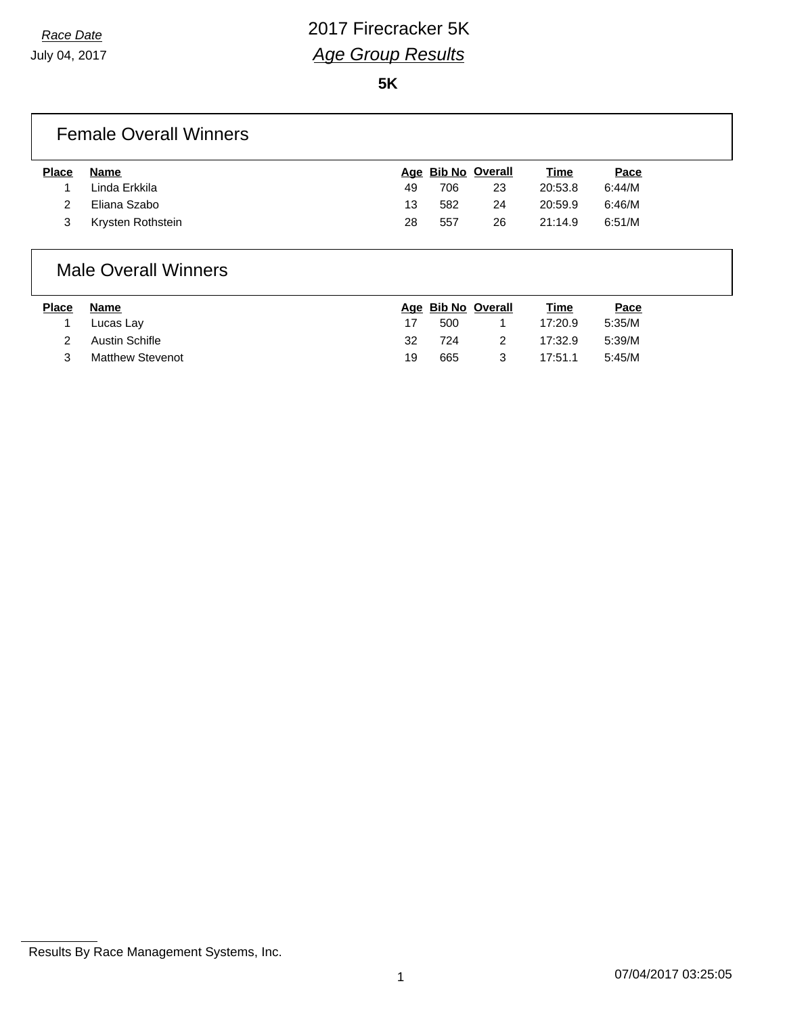**5K**

## Female Overall Winners

| <b>Place</b> | Name              |    | Age Bib No Overall |    | <u>Time</u> | <u>Pace</u> |
|--------------|-------------------|----|--------------------|----|-------------|-------------|
|              | Linda Erkkila     | 49 | 706                | 23 | 20:53.8     | 6:44/M      |
|              | Eliana Szabo      | 13 | 582                | 24 | 20:59.9     | 6:46/M      |
|              | Krysten Rothstein | 28 | 557                | 26 | 21:14.9     | 6:51/M      |

### Male Overall Winners

| <b>Place</b> | Name                    |    | Age Bib No Overall | Time    | Pace   |
|--------------|-------------------------|----|--------------------|---------|--------|
|              | Lucas Lay               |    | 500                | 17:20.9 | 5:35/M |
|              | Austin Schifle          | 32 | 724                | 17:32.9 | 5:39/M |
|              | <b>Matthew Stevenot</b> | 19 | 665                | 17:51.1 | 5:45/M |

Results By Race Management Systems, Inc.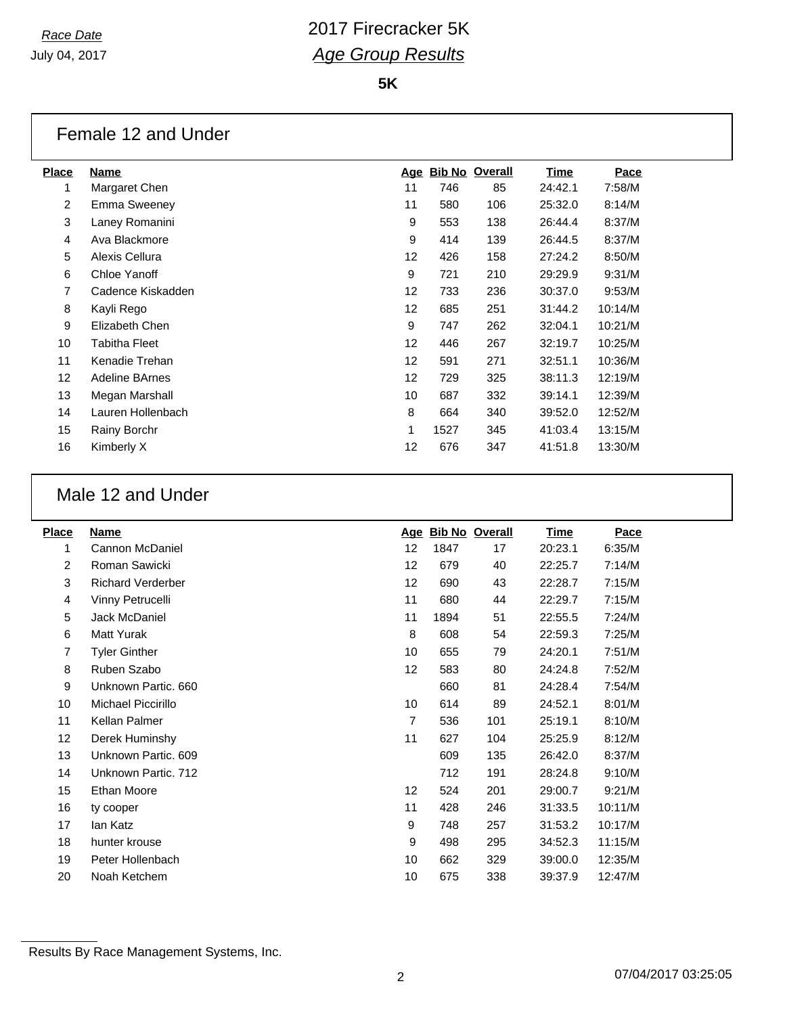**5K**

## Female 12 and Under

| <b>Place</b> | Name              |                   | Age Bib No Overall |     | Time    | Pace    |
|--------------|-------------------|-------------------|--------------------|-----|---------|---------|
|              | Margaret Chen     | 11                | 746                | 85  | 24:42.1 | 7:58/M  |
| 2            | Emma Sweeney      | 11                | 580                | 106 | 25:32.0 | 8:14/M  |
| 3            | Laney Romanini    | 9                 | 553                | 138 | 26:44.4 | 8:37/M  |
| 4            | Ava Blackmore     | 9                 | 414                | 139 | 26:44.5 | 8:37/M  |
| 5            | Alexis Cellura    | 12                | 426                | 158 | 27:24.2 | 8:50/M  |
| 6            | Chloe Yanoff      | 9                 | 721                | 210 | 29:29.9 | 9:31/M  |
| 7            | Cadence Kiskadden | $12 \overline{ }$ | 733                | 236 | 30:37.0 | 9:53/M  |
| 8            | Kayli Rego        | 12                | 685                | 251 | 31:44.2 | 10:14/M |
| 9            | Elizabeth Chen    | 9                 | 747                | 262 | 32:04.1 | 10:21/M |
| 10           | Tabitha Fleet     | $12 \overline{ }$ | 446                | 267 | 32:19.7 | 10:25/M |
| 11           | Kenadie Trehan    | $12 \overline{ }$ | 591                | 271 | 32:51.1 | 10:36/M |
| 12           | Adeline BArnes    | $12 \overline{ }$ | 729                | 325 | 38:11.3 | 12:19/M |
| 13           | Megan Marshall    | 10                | 687                | 332 | 39:14.1 | 12:39/M |
| 14           | Lauren Hollenbach | 8                 | 664                | 340 | 39:52.0 | 12:52/M |
| 15           | Rainy Borchr      | 1                 | 1527               | 345 | 41:03.4 | 13:15/M |
| 16           | Kimberly X        | $12 \overline{ }$ | 676                | 347 | 41:51.8 | 13:30/M |
|              |                   |                   |                    |     |         |         |

### Male 12 and Under

| <b>Place</b> | Name                     | Age               | <b>Bib No Overall</b> |     | <b>Time</b> | Pace    |
|--------------|--------------------------|-------------------|-----------------------|-----|-------------|---------|
| 1            | Cannon McDaniel          | 12                | 1847                  | 17  | 20:23.1     | 6:35/M  |
| 2            | Roman Sawicki            | 12                | 679                   | 40  | 22:25.7     | 7:14/M  |
| 3            | <b>Richard Verderber</b> | $12 \overline{ }$ | 690                   | 43  | 22:28.7     | 7:15/M  |
| 4            | Vinny Petrucelli         | 11                | 680                   | 44  | 22:29.7     | 7:15/M  |
| 5            | Jack McDaniel            | 11                | 1894                  | 51  | 22:55.5     | 7:24/M  |
| 6            | Matt Yurak               | 8                 | 608                   | 54  | 22:59.3     | 7:25/M  |
| 7            | <b>Tyler Ginther</b>     | 10                | 655                   | 79  | 24:20.1     | 7:51/M  |
| 8            | Ruben Szabo              | 12                | 583                   | 80  | 24:24.8     | 7:52/M  |
| 9            | Unknown Partic. 660      |                   | 660                   | 81  | 24:28.4     | 7:54/M  |
| 10           | Michael Piccirillo       | 10                | 614                   | 89  | 24:52.1     | 8:01/M  |
| 11           | Kellan Palmer            | 7                 | 536                   | 101 | 25:19.1     | 8:10/M  |
| 12           | Derek Huminshy           | 11                | 627                   | 104 | 25:25.9     | 8:12/M  |
| 13           | Unknown Partic, 609      |                   | 609                   | 135 | 26:42.0     | 8:37/M  |
| 14           | Unknown Partic. 712      |                   | 712                   | 191 | 28:24.8     | 9:10/M  |
| 15           | <b>Ethan Moore</b>       | 12                | 524                   | 201 | 29:00.7     | 9:21/M  |
| 16           | ty cooper                | 11                | 428                   | 246 | 31:33.5     | 10:11/M |
| 17           | lan Katz                 | 9                 | 748                   | 257 | 31:53.2     | 10:17/M |
| 18           | hunter krouse            | 9                 | 498                   | 295 | 34:52.3     | 11:15/M |
| 19           | Peter Hollenbach         | 10                | 662                   | 329 | 39:00.0     | 12:35/M |
| 20           | Noah Ketchem             | 10                | 675                   | 338 | 39:37.9     | 12:47/M |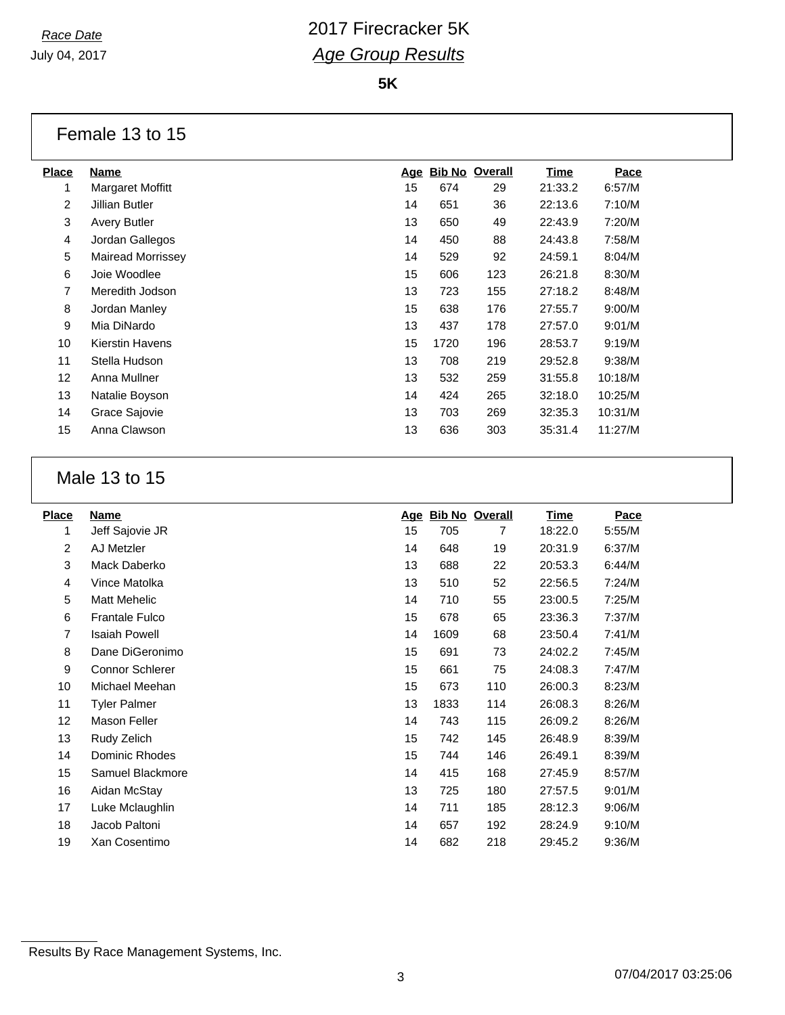**5K**

### Female 13 to 15

| <b>Place</b>   | <b>Name</b>              | <u>Age</u> | <b>Bib No Overall</b> |     | <u>Time</u> | Pace    |
|----------------|--------------------------|------------|-----------------------|-----|-------------|---------|
| 1              | Margaret Moffitt         | 15         | 674                   | 29  | 21:33.2     | 6:57/M  |
| $\overline{2}$ | Jillian Butler           | 14         | 651                   | 36  | 22:13.6     | 7:10/M  |
| 3              | <b>Avery Butler</b>      | 13         | 650                   | 49  | 22:43.9     | 7:20/M  |
| 4              | Jordan Gallegos          | 14         | 450                   | 88  | 24:43.8     | 7:58/M  |
| 5              | <b>Mairead Morrissey</b> | 14         | 529                   | 92  | 24:59.1     | 8:04/M  |
| 6              | Joie Woodlee             | 15         | 606                   | 123 | 26:21.8     | 8:30/M  |
| 7              | Meredith Jodson          | 13         | 723                   | 155 | 27:18.2     | 8:48/M  |
| 8              | Jordan Manley            | 15         | 638                   | 176 | 27:55.7     | 9:00/M  |
| 9              | Mia DiNardo              | 13         | 437                   | 178 | 27:57.0     | 9:01/M  |
| 10             | Kierstin Havens          | 15         | 1720                  | 196 | 28:53.7     | 9:19/M  |
| 11             | Stella Hudson            | 13         | 708                   | 219 | 29:52.8     | 9:38/M  |
| 12             | Anna Mullner             | 13         | 532                   | 259 | 31:55.8     | 10:18/M |
| 13             | Natalie Boyson           | 14         | 424                   | 265 | 32:18.0     | 10:25/M |
| 14             | Grace Sajovie            | 13         | 703                   | 269 | 32:35.3     | 10:31/M |
| 15             | Anna Clawson             | 13         | 636                   | 303 | 35:31.4     | 11:27/M |
|                |                          |            |                       |     |             |         |

## Male 13 to 15

| <b>Place</b> | Name                   | <u>Age</u> | <b>Bib No Overall</b> |     | <u>Time</u> | Pace   |
|--------------|------------------------|------------|-----------------------|-----|-------------|--------|
| 1            | Jeff Sajovie JR        | 15         | 705                   | 7   | 18:22.0     | 5:55/M |
| 2            | AJ Metzler             | 14         | 648                   | 19  | 20:31.9     | 6:37/M |
| 3            | Mack Daberko           | 13         | 688                   | 22  | 20:53.3     | 6:44/M |
| 4            | Vince Matolka          | 13         | 510                   | 52  | 22:56.5     | 7:24/M |
| 5            | Matt Mehelic           | 14         | 710                   | 55  | 23:00.5     | 7:25/M |
| 6            | <b>Frantale Fulco</b>  | 15         | 678                   | 65  | 23:36.3     | 7:37/M |
| 7            | <b>Isaiah Powell</b>   | 14         | 1609                  | 68  | 23:50.4     | 7:41/M |
| 8            | Dane DiGeronimo        | 15         | 691                   | 73  | 24:02.2     | 7:45/M |
| 9            | <b>Connor Schlerer</b> | 15         | 661                   | 75  | 24:08.3     | 7:47/M |
| 10           | Michael Meehan         | 15         | 673                   | 110 | 26:00.3     | 8:23/M |
| 11           | <b>Tyler Palmer</b>    | 13         | 1833                  | 114 | 26:08.3     | 8:26/M |
| 12           | Mason Feller           | 14         | 743                   | 115 | 26:09.2     | 8:26/M |
| 13           | Rudy Zelich            | 15         | 742                   | 145 | 26:48.9     | 8:39/M |
| 14           | Dominic Rhodes         | 15         | 744                   | 146 | 26:49.1     | 8:39/M |
| 15           | Samuel Blackmore       | 14         | 415                   | 168 | 27:45.9     | 8:57/M |
| 16           | Aidan McStay           | 13         | 725                   | 180 | 27:57.5     | 9:01/M |
| 17           | Luke Mclaughlin        | 14         | 711                   | 185 | 28:12.3     | 9:06/M |
| 18           | Jacob Paltoni          | 14         | 657                   | 192 | 28:24.9     | 9:10/M |
| 19           | Xan Cosentimo          | 14         | 682                   | 218 | 29:45.2     | 9:36/M |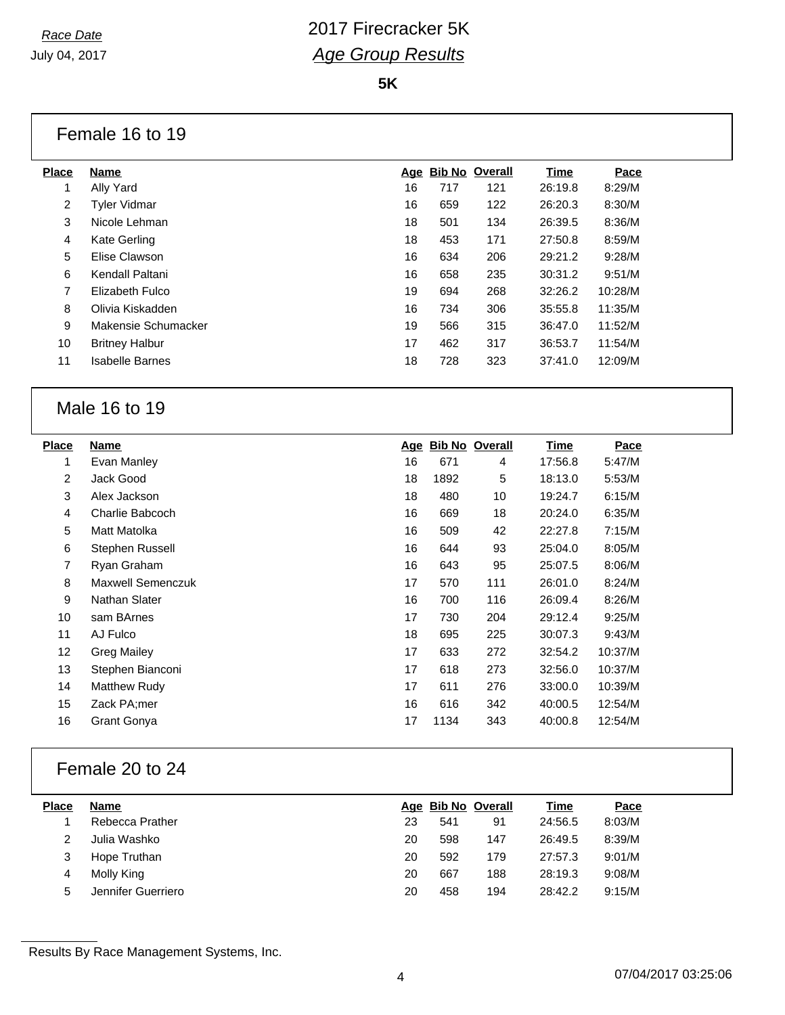**5K**

#### Female 16 to 19

| Place          | <b>Name</b>            |    | Age Bib No Overall |     | Time    | Pace    |
|----------------|------------------------|----|--------------------|-----|---------|---------|
| 1              | Ally Yard              | 16 | 717                | 121 | 26:19.8 | 8:29/M  |
| $\overline{2}$ | <b>Tyler Vidmar</b>    | 16 | 659                | 122 | 26:20.3 | 8:30/M  |
| 3              | Nicole Lehman          | 18 | 501                | 134 | 26:39.5 | 8:36/M  |
| 4              | Kate Gerling           | 18 | 453                | 171 | 27:50.8 | 8:59/M  |
| 5              | Elise Clawson          | 16 | 634                | 206 | 29:21.2 | 9:28/M  |
| 6              | Kendall Paltani        | 16 | 658                | 235 | 30:31.2 | 9:51/M  |
| 7              | Elizabeth Fulco        | 19 | 694                | 268 | 32:26.2 | 10:28/M |
| 8              | Olivia Kiskadden       | 16 | 734                | 306 | 35:55.8 | 11:35/M |
| 9              | Makensie Schumacker    | 19 | 566                | 315 | 36:47.0 | 11:52/M |
| 10             | <b>Britney Halbur</b>  | 17 | 462                | 317 | 36:53.7 | 11:54/M |
| 11             | <b>Isabelle Barnes</b> | 18 | 728                | 323 | 37:41.0 | 12:09/M |
|                |                        |    |                    |     |         |         |

### Male 16 to 19

| <b>Place</b>   | <b>Name</b>              |    | Age Bib No Overall |     | Time    | Pace    |
|----------------|--------------------------|----|--------------------|-----|---------|---------|
| 1              | Evan Manley              | 16 | 671                | 4   | 17:56.8 | 5:47/M  |
| $\overline{2}$ | Jack Good                | 18 | 1892               | 5   | 18:13.0 | 5:53/M  |
| 3              | Alex Jackson             | 18 | 480                | 10  | 19:24.7 | 6:15/M  |
| 4              | Charlie Babcoch          | 16 | 669                | 18  | 20:24.0 | 6:35/M  |
| 5              | Matt Matolka             | 16 | 509                | 42  | 22:27.8 | 7:15/M  |
| 6              | Stephen Russell          | 16 | 644                | 93  | 25:04.0 | 8:05/M  |
| 7              | Ryan Graham              | 16 | 643                | 95  | 25:07.5 | 8:06/M  |
| 8              | <b>Maxwell Semenczuk</b> | 17 | 570                | 111 | 26:01.0 | 8:24/M  |
| 9              | Nathan Slater            | 16 | 700                | 116 | 26:09.4 | 8:26/M  |
| 10             | sam BArnes               | 17 | 730                | 204 | 29:12.4 | 9:25/M  |
| 11             | AJ Fulco                 | 18 | 695                | 225 | 30:07.3 | 9:43/M  |
| 12             | Greg Mailey              | 17 | 633                | 272 | 32:54.2 | 10:37/M |
| 13             | Stephen Bianconi         | 17 | 618                | 273 | 32:56.0 | 10:37/M |
| 14             | <b>Matthew Rudy</b>      | 17 | 611                | 276 | 33:00.0 | 10:39/M |
| 15             | Zack PA;mer              | 16 | 616                | 342 | 40:00.5 | 12:54/M |
| 16             | <b>Grant Gonya</b>       | 17 | 1134               | 343 | 40:00.8 | 12:54/M |

## Female 20 to 24

| <b>Place</b> | <b>Name</b>        |    |     | Age Bib No Overall | Time    | Pace   |
|--------------|--------------------|----|-----|--------------------|---------|--------|
|              | Rebecca Prather    | 23 | 541 | 91                 | 24:56.5 | 8:03/M |
|              | Julia Washko       | 20 | 598 | 147                | 26:49.5 | 8:39/M |
| 3            | Hope Truthan       | 20 | 592 | 179                | 27:57.3 | 9:01/M |
| 4            | Molly King         | 20 | 667 | 188                | 28:19.3 | 9:08/M |
| 5            | Jennifer Guerriero | 20 | 458 | 194                | 28:42.2 | 9:15/M |

Results By Race Management Systems, Inc.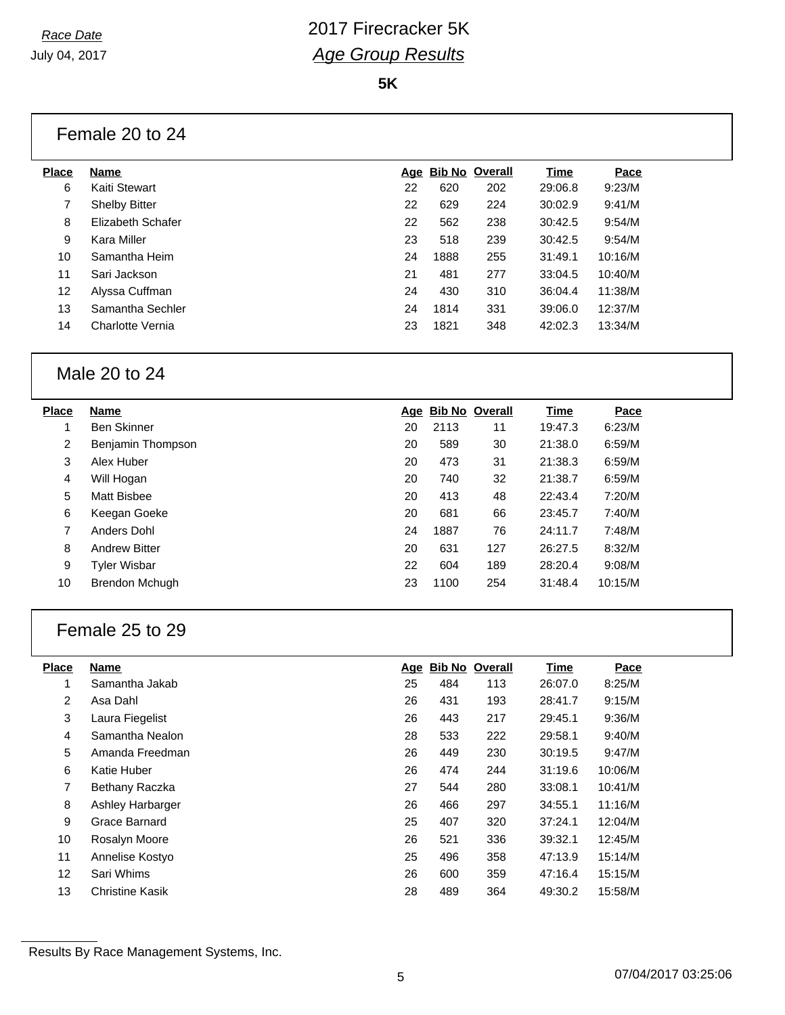**5K**

## Female 20 to 24

| Place             | <b>Name</b>          |    |      | Age Bib No Overall | Time    | Pace    |  |
|-------------------|----------------------|----|------|--------------------|---------|---------|--|
| 6                 | Kaiti Stewart        | 22 | 620  | 202                | 29:06.8 | 9:23/M  |  |
| 7                 | <b>Shelby Bitter</b> | 22 | 629  | 224                | 30:02.9 | 9:41/M  |  |
| 8                 | Elizabeth Schafer    | 22 | 562  | 238                | 30:42.5 | 9:54/M  |  |
| 9                 | Kara Miller          | 23 | 518  | 239                | 30:42.5 | 9:54/M  |  |
| 10                | Samantha Heim        | 24 | 1888 | 255                | 31:49.1 | 10:16/M |  |
| 11                | Sari Jackson         | 21 | 481  | 277                | 33:04.5 | 10:40/M |  |
| $12 \overline{ }$ | Alyssa Cuffman       | 24 | 430  | 310                | 36:04.4 | 11:38/M |  |
| 13                | Samantha Sechler     | 24 | 1814 | 331                | 39:06.0 | 12:37/M |  |
| 14                | Charlotte Vernia     | 23 | 1821 | 348                | 42:02.3 | 13:34/M |  |
|                   |                      |    |      |                    |         |         |  |

### Male 20 to 24

| <b>Place</b>   | <b>Name</b>          |    | Age Bib No Overall |     | Time    | Pace    |
|----------------|----------------------|----|--------------------|-----|---------|---------|
|                | <b>Ben Skinner</b>   | 20 | 2113               | 11  | 19:47.3 | 6:23/M  |
| $\overline{2}$ | Benjamin Thompson    | 20 | 589                | 30  | 21:38.0 | 6:59/M  |
| 3              | Alex Huber           | 20 | 473                | 31  | 21:38.3 | 6:59/M  |
| 4              | Will Hogan           | 20 | 740                | 32  | 21:38.7 | 6:59/M  |
| 5              | Matt Bisbee          | 20 | 413                | 48  | 22:43.4 | 7:20/M  |
| 6              | Keegan Goeke         | 20 | 681                | 66  | 23:45.7 | 7:40/M  |
| 7              | Anders Dohl          | 24 | 1887               | 76  | 24:11.7 | 7:48/M  |
| 8              | <b>Andrew Bitter</b> | 20 | 631                | 127 | 26:27.5 | 8:32/M  |
| 9              | Tyler Wisbar         | 22 | 604                | 189 | 28:20.4 | 9:08/M  |
| 10             | Brendon Mchugh       | 23 | 1100               | 254 | 31:48.4 | 10:15/M |

## Female 25 to 29

| <b>Place</b> | Name                   | <u>Age</u> | <b>Bib No Overall</b> |     | Time    | Pace    |
|--------------|------------------------|------------|-----------------------|-----|---------|---------|
| 1            | Samantha Jakab         | 25         | 484                   | 113 | 26:07.0 | 8:25/M  |
| 2            | Asa Dahl               | 26         | 431                   | 193 | 28:41.7 | 9:15/M  |
| 3            | Laura Fiegelist        | 26         | 443                   | 217 | 29:45.1 | 9:36/M  |
| 4            | Samantha Nealon        | 28         | 533                   | 222 | 29:58.1 | 9:40/M  |
| 5            | Amanda Freedman        | 26         | 449                   | 230 | 30:19.5 | 9:47/M  |
| 6            | Katie Huber            | 26         | 474                   | 244 | 31:19.6 | 10:06/M |
| 7            | Bethany Raczka         | 27         | 544                   | 280 | 33:08.1 | 10:41/M |
| 8            | Ashley Harbarger       | 26         | 466                   | 297 | 34:55.1 | 11:16/M |
| 9            | Grace Barnard          | 25         | 407                   | 320 | 37:24.1 | 12:04/M |
| 10           | Rosalyn Moore          | 26         | 521                   | 336 | 39:32.1 | 12:45/M |
| 11           | Annelise Kostyo        | 25         | 496                   | 358 | 47:13.9 | 15:14/M |
| 12           | Sari Whims             | 26         | 600                   | 359 | 47:16.4 | 15:15/M |
| 13           | <b>Christine Kasik</b> | 28         | 489                   | 364 | 49:30.2 | 15:58/M |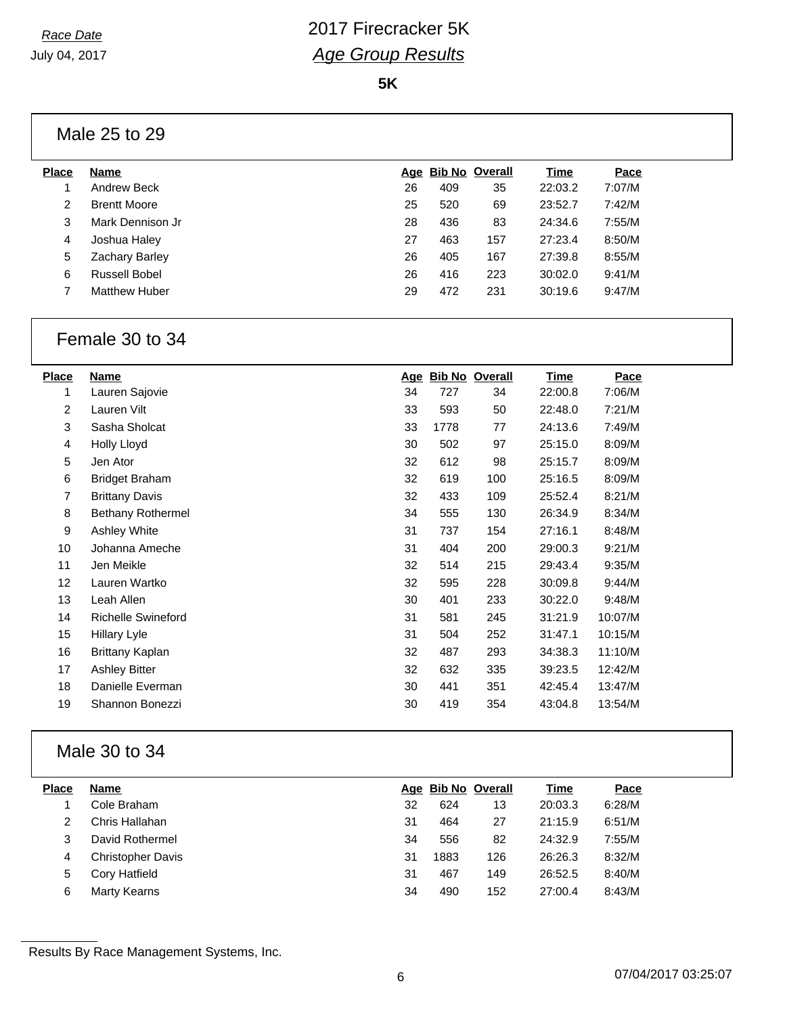**5K**

### Male 25 to 29

| <b>Place</b> | Name                  |    | Age Bib No Overall |     | Time    | Pace   |  |
|--------------|-----------------------|----|--------------------|-----|---------|--------|--|
|              | Andrew Beck           | 26 | 409                | 35  | 22:03.2 | 7:07/M |  |
| 2            | <b>Brentt Moore</b>   | 25 | 520                | 69  | 23:52.7 | 7:42/M |  |
| 3            | Mark Dennison Jr      | 28 | 436                | 83  | 24:34.6 | 7:55/M |  |
| 4            | Joshua Haley          | 27 | 463                | 157 | 27:23.4 | 8:50/M |  |
| 5            | <b>Zachary Barley</b> | 26 | 405                | 167 | 27:39.8 | 8:55/M |  |
| 6            | Russell Bobel         | 26 | 416                | 223 | 30:02.0 | 9:41/M |  |
|              | <b>Matthew Huber</b>  | 29 | 472                | 231 | 30:19.6 | 9:47/M |  |
|              |                       |    |                    |     |         |        |  |

#### Female 30 to 34

| <b>Place</b> | Name                      |    | Age Bib No Overall |     | <b>Time</b> | Pace    |
|--------------|---------------------------|----|--------------------|-----|-------------|---------|
| 1            | Lauren Sajovie            | 34 | 727                | 34  | 22:00.8     | 7:06/M  |
| 2            | Lauren Vilt               | 33 | 593                | 50  | 22:48.0     | 7:21/M  |
| 3            | Sasha Sholcat             | 33 | 1778               | 77  | 24:13.6     | 7:49/M  |
| 4            | Holly Lloyd               | 30 | 502                | 97  | 25:15.0     | 8:09/M  |
| 5            | Jen Ator                  | 32 | 612                | 98  | 25:15.7     | 8:09/M  |
| 6            | <b>Bridget Braham</b>     | 32 | 619                | 100 | 25:16.5     | 8:09/M  |
| 7            | <b>Brittany Davis</b>     | 32 | 433                | 109 | 25:52.4     | 8:21/M  |
| 8            | <b>Bethany Rothermel</b>  | 34 | 555                | 130 | 26:34.9     | 8:34/M  |
| 9            | Ashley White              | 31 | 737                | 154 | 27:16.1     | 8:48/M  |
| 10           | Johanna Ameche            | 31 | 404                | 200 | 29:00.3     | 9:21/M  |
| 11           | Jen Meikle                | 32 | 514                | 215 | 29:43.4     | 9:35/M  |
| 12           | Lauren Wartko             | 32 | 595                | 228 | 30:09.8     | 9:44/M  |
| 13           | Leah Allen                | 30 | 401                | 233 | 30:22.0     | 9:48/M  |
| 14           | <b>Richelle Swineford</b> | 31 | 581                | 245 | 31:21.9     | 10:07/M |
| 15           | Hillary Lyle              | 31 | 504                | 252 | 31:47.1     | 10:15/M |
| 16           | Brittany Kaplan           | 32 | 487                | 293 | 34:38.3     | 11:10/M |
| 17           | <b>Ashley Bitter</b>      | 32 | 632                | 335 | 39:23.5     | 12:42/M |
| 18           | Danielle Everman          | 30 | 441                | 351 | 42:45.4     | 13:47/M |
| 19           | Shannon Bonezzi           | 30 | 419                | 354 | 43:04.8     | 13:54/M |

## Male 30 to 34

| <b>Place</b> | <b>Name</b>              |    | Age Bib No Overall |     | <u>Time</u> | Pace   |
|--------------|--------------------------|----|--------------------|-----|-------------|--------|
|              | Cole Braham              | 32 | 624                | 13  | 20:03.3     | 6:28/M |
|              | Chris Hallahan           | 31 | 464                | 27  | 21:15.9     | 6:51/M |
| 3            | David Rothermel          | 34 | 556                | 82  | 24:32.9     | 7:55/M |
| 4            | <b>Christopher Davis</b> | 31 | 1883               | 126 | 26:26.3     | 8:32/M |
| 5            | Cory Hatfield            | 31 | 467                | 149 | 26:52.5     | 8:40/M |
| 6            | Marty Kearns             | 34 | 490                | 152 | 27:00.4     | 8:43/M |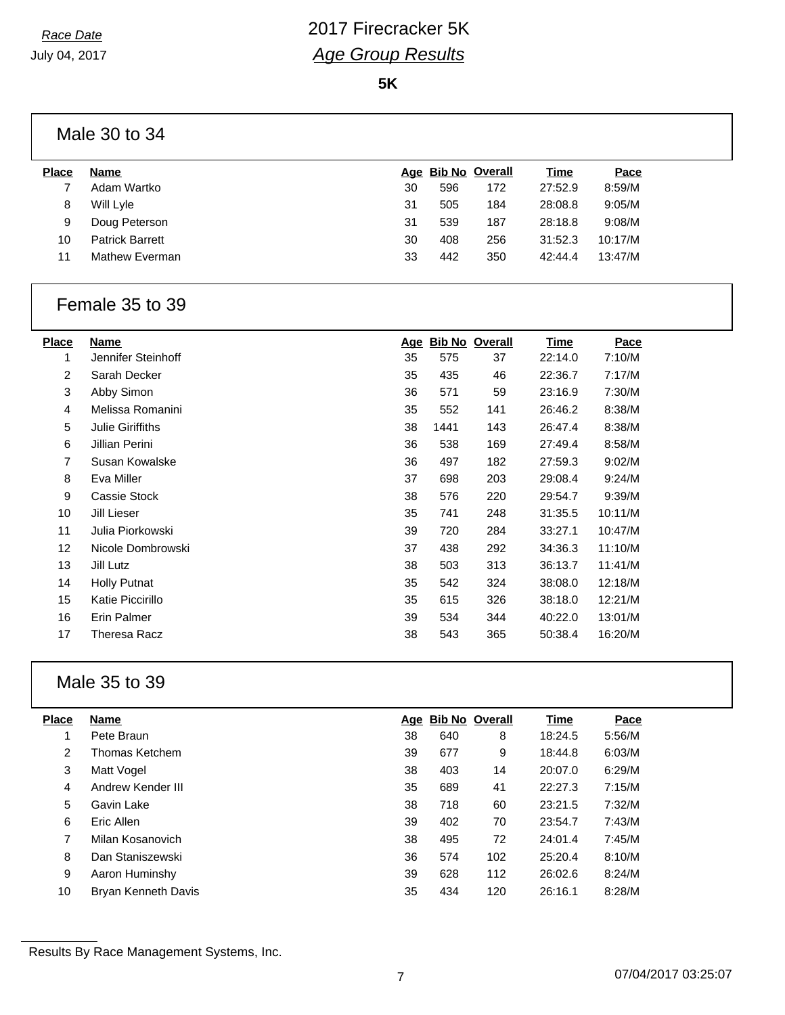**5K**

|              | Male 30 to 34          |    |     |                    |         |         |
|--------------|------------------------|----|-----|--------------------|---------|---------|
| <b>Place</b> | Name                   |    |     | Age Bib No Overall | Time    | Pace    |
|              | Adam Wartko            | 30 | 596 | 172                | 27:52.9 | 8:59/M  |
| 8            | Will Lyle              | 31 | 505 | 184                | 28:08.8 | 9:05/M  |
| 9            | Doug Peterson          | 31 | 539 | 187                | 28:18.8 | 9:08/M  |
| 10           | <b>Patrick Barrett</b> | 30 | 408 | 256                | 31:52.3 | 10:17/M |

Mathew Everman 33 442 350 42:44.4 13:47/M

#### Female 35 to 39

| Place | Name                    | Age | <b>Bib No Overall</b> |     | Time    | Pace    |
|-------|-------------------------|-----|-----------------------|-----|---------|---------|
| 1     | Jennifer Steinhoff      | 35  | 575                   | 37  | 22:14.0 | 7:10/M  |
| 2     | Sarah Decker            | 35  | 435                   | 46  | 22:36.7 | 7:17/M  |
| 3     | Abby Simon              | 36  | 571                   | 59  | 23:16.9 | 7:30/M  |
| 4     | Melissa Romanini        | 35  | 552                   | 141 | 26:46.2 | 8:38/M  |
| 5     | <b>Julie Giriffiths</b> | 38  | 1441                  | 143 | 26:47.4 | 8:38/M  |
| 6     | Jillian Perini          | 36  | 538                   | 169 | 27:49.4 | 8:58/M  |
| 7     | Susan Kowalske          | 36  | 497                   | 182 | 27:59.3 | 9:02/M  |
| 8     | Eva Miller              | 37  | 698                   | 203 | 29:08.4 | 9:24/M  |
| 9     | Cassie Stock            | 38  | 576                   | 220 | 29:54.7 | 9:39/M  |
| 10    | Jill Lieser             | 35  | 741                   | 248 | 31:35.5 | 10:11/M |
| 11    | Julia Piorkowski        | 39  | 720                   | 284 | 33:27.1 | 10:47/M |
| 12    | Nicole Dombrowski       | 37  | 438                   | 292 | 34:36.3 | 11:10/M |
| 13    | Jill Lutz               | 38  | 503                   | 313 | 36:13.7 | 11:41/M |
| 14    | Holly Putnat            | 35  | 542                   | 324 | 38:08.0 | 12:18/M |
| 15    | Katie Piccirillo        | 35  | 615                   | 326 | 38:18.0 | 12:21/M |
| 16    | Erin Palmer             | 39  | 534                   | 344 | 40:22.0 | 13:01/M |
| 17    | <b>Theresa Racz</b>     | 38  | 543                   | 365 | 50:38.4 | 16:20/M |
|       |                         |     |                       |     |         |         |

## Male 35 to 39

| <b>Place</b> | Name                |    | Age Bib No Overall |     | <b>Time</b> | Pace   |
|--------------|---------------------|----|--------------------|-----|-------------|--------|
|              | Pete Braun          | 38 | 640                | 8   | 18:24.5     | 5:56/M |
| 2            | Thomas Ketchem      | 39 | 677                | 9   | 18:44.8     | 6:03/M |
| 3            | Matt Vogel          | 38 | 403                | 14  | 20:07.0     | 6:29/M |
| 4            | Andrew Kender III   | 35 | 689                | 41  | 22:27.3     | 7:15/M |
| 5            | Gavin Lake          | 38 | 718                | 60  | 23:21.5     | 7:32/M |
| 6            | Eric Allen          | 39 | 402                | 70  | 23:54.7     | 7:43/M |
| 7            | Milan Kosanovich    | 38 | 495                | 72  | 24:01.4     | 7:45/M |
| 8            | Dan Staniszewski    | 36 | 574                | 102 | 25:20.4     | 8:10/M |
| 9            | Aaron Huminshy      | 39 | 628                | 112 | 26:02.6     | 8:24/M |
| 10           | Bryan Kenneth Davis | 35 | 434                | 120 | 26:16.1     | 8:28/M |

Results By Race Management Systems, Inc.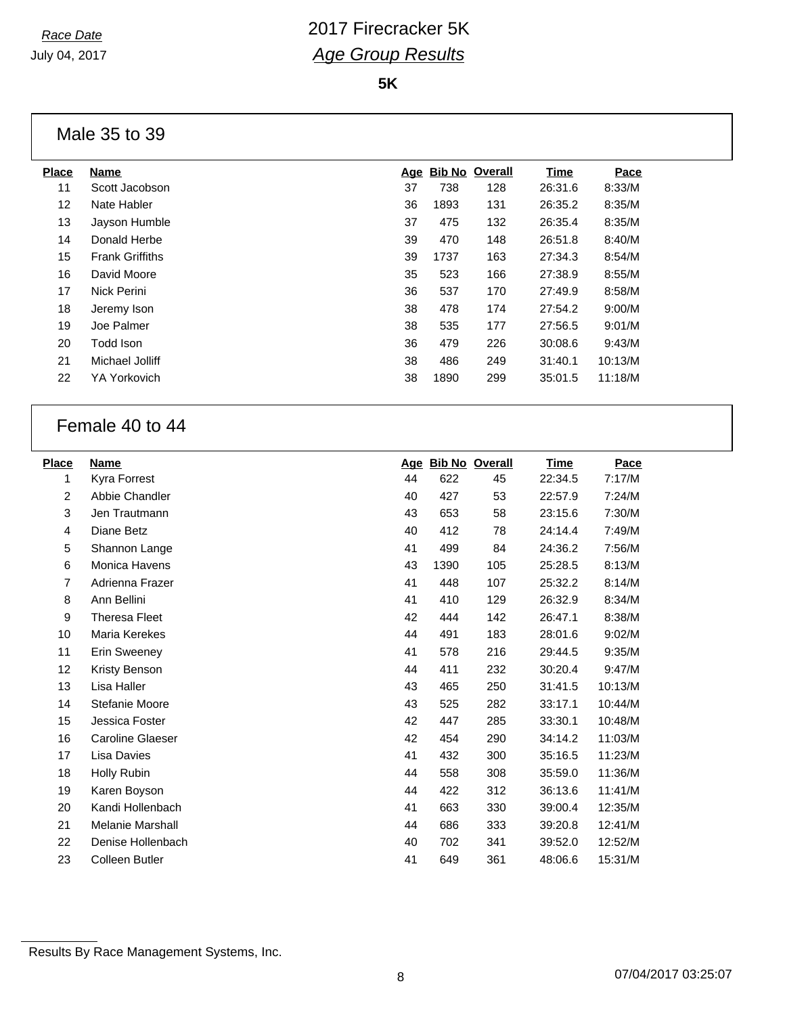**5K**

### Male 35 to 39

| <b>Place</b>      | Name                   |    |      | Age Bib No Overall | Time    | Pace    |
|-------------------|------------------------|----|------|--------------------|---------|---------|
| 11                | Scott Jacobson         | 37 | 738  | 128                | 26:31.6 | 8:33/M  |
| $12 \overline{ }$ | Nate Habler            | 36 | 1893 | 131                | 26:35.2 | 8:35/M  |
| 13                | Jayson Humble          | 37 | 475  | 132                | 26:35.4 | 8:35/M  |
| 14                | Donald Herbe           | 39 | 470  | 148                | 26:51.8 | 8:40/M  |
| 15                | <b>Frank Griffiths</b> | 39 | 1737 | 163                | 27:34.3 | 8:54/M  |
| 16                | David Moore            | 35 | 523  | 166                | 27:38.9 | 8:55/M  |
| 17                | Nick Perini            | 36 | 537  | 170                | 27:49.9 | 8:58/M  |
| 18                | Jeremy Ison            | 38 | 478  | 174                | 27:54.2 | 9:00/M  |
| 19                | Joe Palmer             | 38 | 535  | 177                | 27:56.5 | 9:01/M  |
| 20                | Todd Ison              | 36 | 479  | 226                | 30:08.6 | 9:43/M  |
| 21                | Michael Jolliff        | 38 | 486  | 249                | 31:40.1 | 10:13/M |
| 22                | <b>YA Yorkovich</b>    | 38 | 1890 | 299                | 35:01.5 | 11:18/M |
|                   |                        |    |      |                    |         |         |

## Female 40 to 44

| <b>Place</b>   | <b>Name</b>             |    | Age Bib No Overall |     | Time    | Pace    |
|----------------|-------------------------|----|--------------------|-----|---------|---------|
| 1              | Kyra Forrest            | 44 | 622                | 45  | 22:34.5 | 7:17/M  |
| 2              | Abbie Chandler          | 40 | 427                | 53  | 22:57.9 | 7:24/M  |
| 3              | Jen Trautmann           | 43 | 653                | 58  | 23:15.6 | 7:30/M  |
| 4              | Diane Betz              | 40 | 412                | 78  | 24:14.4 | 7:49/M  |
| 5              | Shannon Lange           | 41 | 499                | 84  | 24:36.2 | 7:56/M  |
| 6              | Monica Havens           | 43 | 1390               | 105 | 25:28.5 | 8:13/M  |
| $\overline{7}$ | Adrienna Frazer         | 41 | 448                | 107 | 25:32.2 | 8:14/M  |
| 8              | Ann Bellini             | 41 | 410                | 129 | 26:32.9 | 8:34/M  |
| 9              | <b>Theresa Fleet</b>    | 42 | 444                | 142 | 26:47.1 | 8:38/M  |
| 10             | Maria Kerekes           | 44 | 491                | 183 | 28:01.6 | 9:02/M  |
| 11             | Erin Sweeney            | 41 | 578                | 216 | 29:44.5 | 9:35/M  |
| 12             | Kristy Benson           | 44 | 411                | 232 | 30:20.4 | 9:47/M  |
| 13             | Lisa Haller             | 43 | 465                | 250 | 31:41.5 | 10:13/M |
| 14             | Stefanie Moore          | 43 | 525                | 282 | 33:17.1 | 10:44/M |
| 15             | Jessica Foster          | 42 | 447                | 285 | 33:30.1 | 10:48/M |
| 16             | <b>Caroline Glaeser</b> | 42 | 454                | 290 | 34:14.2 | 11:03/M |
| 17             | Lisa Davies             | 41 | 432                | 300 | 35:16.5 | 11:23/M |
| 18             | Holly Rubin             | 44 | 558                | 308 | 35:59.0 | 11:36/M |
| 19             | Karen Boyson            | 44 | 422                | 312 | 36:13.6 | 11:41/M |
| 20             | Kandi Hollenbach        | 41 | 663                | 330 | 39:00.4 | 12:35/M |
| 21             | <b>Melanie Marshall</b> | 44 | 686                | 333 | 39:20.8 | 12:41/M |
| 22             | Denise Hollenbach       | 40 | 702                | 341 | 39:52.0 | 12:52/M |
| 23             | <b>Colleen Butler</b>   | 41 | 649                | 361 | 48:06.6 | 15:31/M |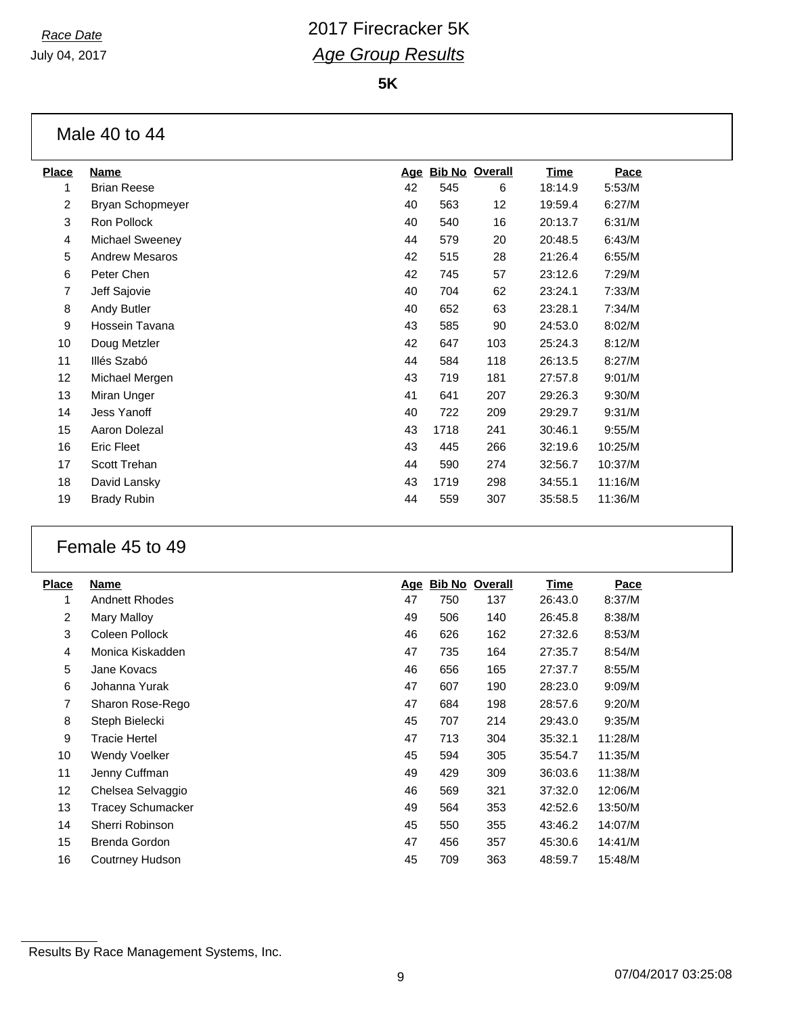**5K**

## Male 40 to 44

| <b>Place</b> | <b>Name</b>            | <u>Age</u> |      | <b>Bib No Overall</b> | <u>Time</u> | Pace    |
|--------------|------------------------|------------|------|-----------------------|-------------|---------|
| 1            | <b>Brian Reese</b>     | 42         | 545  | 6                     | 18:14.9     | 5:53/M  |
| 2            | Bryan Schopmeyer       | 40         | 563  | 12                    | 19:59.4     | 6:27/M  |
| 3            | Ron Pollock            | 40         | 540  | 16                    | 20:13.7     | 6:31/M  |
| 4            | <b>Michael Sweeney</b> | 44         | 579  | 20                    | 20:48.5     | 6:43/M  |
| 5            | <b>Andrew Mesaros</b>  | 42         | 515  | 28                    | 21:26.4     | 6:55/M  |
| 6            | Peter Chen             | 42         | 745  | 57                    | 23:12.6     | 7:29/M  |
| 7            | Jeff Sajovie           | 40         | 704  | 62                    | 23:24.1     | 7:33/M  |
| 8            | Andy Butler            | 40         | 652  | 63                    | 23:28.1     | 7:34/M  |
| 9            | Hossein Tavana         | 43         | 585  | 90                    | 24:53.0     | 8:02/M  |
| 10           | Doug Metzler           | 42         | 647  | 103                   | 25:24.3     | 8:12/M  |
| 11           | Illés Szabó            | 44         | 584  | 118                   | 26:13.5     | 8:27/M  |
| 12           | Michael Mergen         | 43         | 719  | 181                   | 27:57.8     | 9:01/M  |
| 13           | Miran Unger            | 41         | 641  | 207                   | 29:26.3     | 9:30/M  |
| 14           | <b>Jess Yanoff</b>     | 40         | 722  | 209                   | 29:29.7     | 9:31/M  |
| 15           | Aaron Dolezal          | 43         | 1718 | 241                   | 30:46.1     | 9:55/M  |
| 16           | <b>Eric Fleet</b>      | 43         | 445  | 266                   | 32:19.6     | 10:25/M |
| 17           | Scott Trehan           | 44         | 590  | 274                   | 32:56.7     | 10:37/M |
| 18           | David Lansky           | 43         | 1719 | 298                   | 34:55.1     | 11:16/M |
| 19           | <b>Brady Rubin</b>     | 44         | 559  | 307                   | 35:58.5     | 11:36/M |
|              |                        |            |      |                       |             |         |

## Female 45 to 49

| <b>Place</b>   | Name                     | <u>Age</u> | <b>Bib No Overall</b> |     | <b>Time</b> | Pace    |
|----------------|--------------------------|------------|-----------------------|-----|-------------|---------|
| 1              | <b>Andnett Rhodes</b>    | 47         | 750                   | 137 | 26:43.0     | 8:37/M  |
| $\overline{2}$ | Mary Malloy              | 49         | 506                   | 140 | 26:45.8     | 8:38/M  |
| 3              | Coleen Pollock           | 46         | 626                   | 162 | 27:32.6     | 8:53/M  |
| 4              | Monica Kiskadden         | 47         | 735                   | 164 | 27:35.7     | 8:54/M  |
| 5              | Jane Kovacs              | 46         | 656                   | 165 | 27:37.7     | 8:55/M  |
| 6              | Johanna Yurak            | 47         | 607                   | 190 | 28:23.0     | 9:09/M  |
| 7              | Sharon Rose-Rego         | 47         | 684                   | 198 | 28:57.6     | 9:20/M  |
| 8              | Steph Bielecki           | 45         | 707                   | 214 | 29:43.0     | 9:35/M  |
| 9              | <b>Tracie Hertel</b>     | 47         | 713                   | 304 | 35:32.1     | 11:28/M |
| 10             | Wendy Voelker            | 45         | 594                   | 305 | 35:54.7     | 11:35/M |
| 11             | Jenny Cuffman            | 49         | 429                   | 309 | 36:03.6     | 11:38/M |
| 12             | Chelsea Selvaggio        | 46         | 569                   | 321 | 37:32.0     | 12:06/M |
| 13             | <b>Tracey Schumacker</b> | 49         | 564                   | 353 | 42:52.6     | 13:50/M |
| 14             | Sherri Robinson          | 45         | 550                   | 355 | 43:46.2     | 14:07/M |
| 15             | Brenda Gordon            | 47         | 456                   | 357 | 45:30.6     | 14:41/M |
| 16             | Coutrney Hudson          | 45         | 709                   | 363 | 48:59.7     | 15:48/M |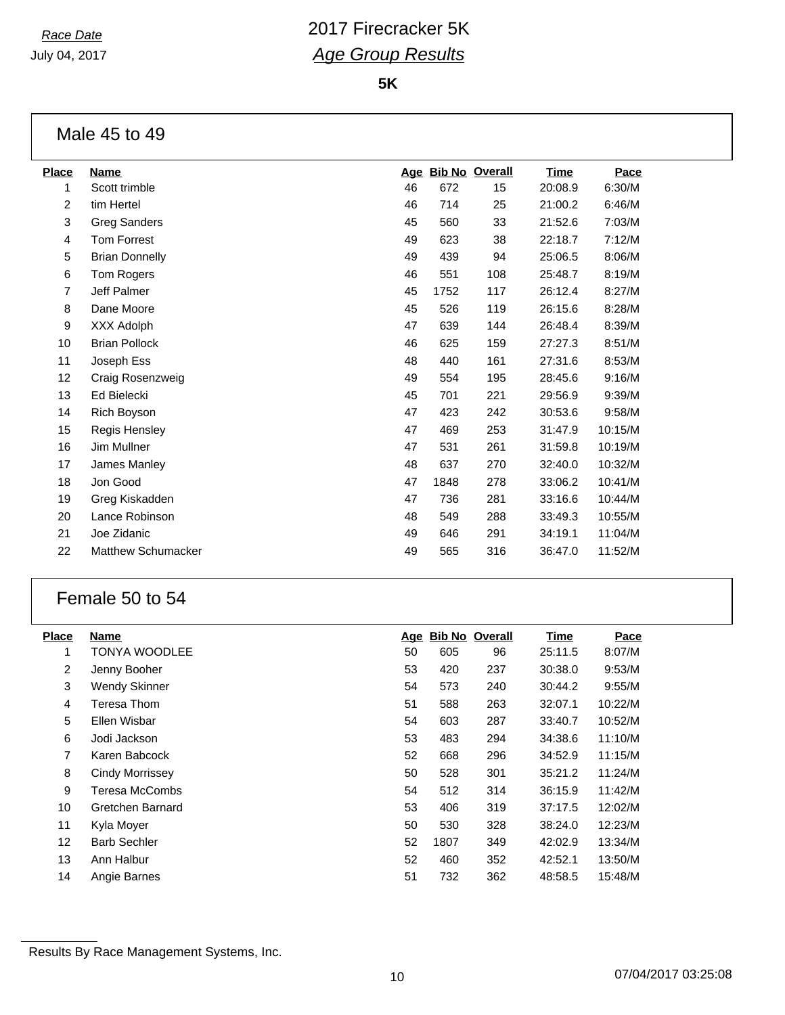**5K**

## Male 45 to 49

| <b>Place</b>   | <b>Name</b>           | Age |      | <b>Bib No Overall</b> | Time    | Pace    |
|----------------|-----------------------|-----|------|-----------------------|---------|---------|
| 1              | Scott trimble         | 46  | 672  | 15                    | 20:08.9 | 6:30/M  |
| $\overline{2}$ | tim Hertel            | 46  | 714  | 25                    | 21:00.2 | 6:46/M  |
| 3              | <b>Greg Sanders</b>   | 45  | 560  | 33                    | 21:52.6 | 7:03/M  |
| 4              | <b>Tom Forrest</b>    | 49  | 623  | 38                    | 22:18.7 | 7:12/M  |
| 5              | <b>Brian Donnelly</b> | 49  | 439  | 94                    | 25:06.5 | 8:06/M  |
| 6              | Tom Rogers            | 46  | 551  | 108                   | 25:48.7 | 8:19/M  |
| 7              | Jeff Palmer           | 45  | 1752 | 117                   | 26:12.4 | 8:27/M  |
| 8              | Dane Moore            | 45  | 526  | 119                   | 26:15.6 | 8:28/M  |
| 9              | XXX Adolph            | 47  | 639  | 144                   | 26:48.4 | 8:39/M  |
| 10             | <b>Brian Pollock</b>  | 46  | 625  | 159                   | 27:27.3 | 8:51/M  |
| 11             | Joseph Ess            | 48  | 440  | 161                   | 27:31.6 | 8:53/M  |
| 12             | Craig Rosenzweig      | 49  | 554  | 195                   | 28:45.6 | 9:16/M  |
| 13             | Ed Bielecki           | 45  | 701  | 221                   | 29:56.9 | 9:39/M  |
| 14             | Rich Boyson           | 47  | 423  | 242                   | 30:53.6 | 9:58/M  |
| 15             | Regis Hensley         | 47  | 469  | 253                   | 31:47.9 | 10:15/M |
| 16             | Jim Mullner           | 47  | 531  | 261                   | 31:59.8 | 10:19/M |
| 17             | James Manley          | 48  | 637  | 270                   | 32:40.0 | 10:32/M |
| 18             | Jon Good              | 47  | 1848 | 278                   | 33:06.2 | 10:41/M |
| 19             | Greg Kiskadden        | 47  | 736  | 281                   | 33:16.6 | 10:44/M |
| 20             | Lance Robinson        | 48  | 549  | 288                   | 33:49.3 | 10:55/M |
| 21             | Joe Zidanic           | 49  | 646  | 291                   | 34:19.1 | 11:04/M |
| 22             | Matthew Schumacker    | 49  | 565  | 316                   | 36:47.0 | 11:52/M |
|                |                       |     |      |                       |         |         |

## Female 50 to 54

| <b>Place</b>   | Name                 |    |      | Age Bib No Overall | Time    | Pace    |
|----------------|----------------------|----|------|--------------------|---------|---------|
| 1              | TONYA WOODLEE        | 50 | 605  | 96                 | 25:11.5 | 8:07/M  |
| $\overline{2}$ | Jenny Booher         | 53 | 420  | 237                | 30:38.0 | 9:53/M  |
| 3              | <b>Wendy Skinner</b> | 54 | 573  | 240                | 30:44.2 | 9:55/M  |
| 4              | Teresa Thom          | 51 | 588  | 263                | 32:07.1 | 10:22/M |
| 5              | Ellen Wisbar         | 54 | 603  | 287                | 33:40.7 | 10:52/M |
| 6              | Jodi Jackson         | 53 | 483  | 294                | 34:38.6 | 11:10/M |
| $\overline{7}$ | Karen Babcock        | 52 | 668  | 296                | 34:52.9 | 11:15/M |
| 8              | Cindy Morrissey      | 50 | 528  | 301                | 35:21.2 | 11:24/M |
| 9              | Teresa McCombs       | 54 | 512  | 314                | 36:15.9 | 11:42/M |
| 10             | Gretchen Barnard     | 53 | 406  | 319                | 37:17.5 | 12:02/M |
| 11             | Kyla Moyer           | 50 | 530  | 328                | 38:24.0 | 12:23/M |
| 12             | <b>Barb Sechler</b>  | 52 | 1807 | 349                | 42:02.9 | 13:34/M |
| 13             | Ann Halbur           | 52 | 460  | 352                | 42:52.1 | 13:50/M |
| 14             | Angie Barnes         | 51 | 732  | 362                | 48:58.5 | 15:48/M |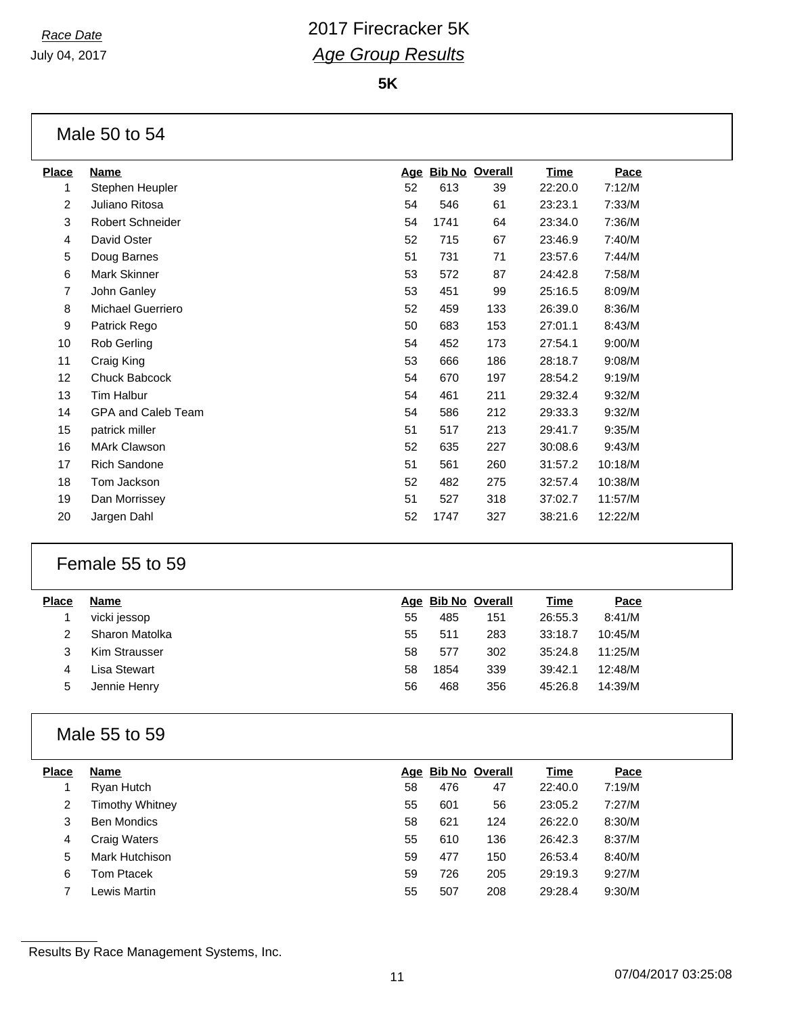**5K**

## Male 50 to 54

| <b>Place</b>   | <b>Name</b>         | <u>Age</u> |      | <b>Bib No Overall</b> | <u>Time</u> | Pace    |
|----------------|---------------------|------------|------|-----------------------|-------------|---------|
| 1              | Stephen Heupler     | 52         | 613  | 39                    | 22:20.0     | 7:12/M  |
| $\overline{2}$ | Juliano Ritosa      | 54         | 546  | 61                    | 23:23.1     | 7:33/M  |
| 3              | Robert Schneider    | 54         | 1741 | 64                    | 23:34.0     | 7:36/M  |
| 4              | David Oster         | 52         | 715  | 67                    | 23:46.9     | 7:40/M  |
| 5              | Doug Barnes         | 51         | 731  | 71                    | 23:57.6     | 7:44/M  |
| 6              | Mark Skinner        | 53         | 572  | 87                    | 24:42.8     | 7:58/M  |
| 7              | John Ganley         | 53         | 451  | 99                    | 25:16.5     | 8:09/M  |
| 8              | Michael Guerriero   | 52         | 459  | 133                   | 26:39.0     | 8:36/M  |
| 9              | Patrick Rego        | 50         | 683  | 153                   | 27:01.1     | 8:43/M  |
| 10             | Rob Gerling         | 54         | 452  | 173                   | 27:54.1     | 9:00/M  |
| 11             | Craig King          | 53         | 666  | 186                   | 28:18.7     | 9:08/M  |
| 12             | Chuck Babcock       | 54         | 670  | 197                   | 28:54.2     | 9:19/M  |
| 13             | Tim Halbur          | 54         | 461  | 211                   | 29:32.4     | 9:32/M  |
| 14             | GPA and Caleb Team  | 54         | 586  | 212                   | 29:33.3     | 9:32/M  |
| 15             | patrick miller      | 51         | 517  | 213                   | 29:41.7     | 9:35/M  |
| 16             | <b>MArk Clawson</b> | 52         | 635  | 227                   | 30:08.6     | 9:43/M  |
| 17             | <b>Rich Sandone</b> | 51         | 561  | 260                   | 31:57.2     | 10:18/M |
| 18             | Tom Jackson         | 52         | 482  | 275                   | 32:57.4     | 10:38/M |
| 19             | Dan Morrissey       | 51         | 527  | 318                   | 37:02.7     | 11:57/M |
| 20             | Jargen Dahl         | 52         | 1747 | 327                   | 38:21.6     | 12:22/M |
|                |                     |            |      |                       |             |         |

## Female 55 to 59

| Place | Name           |    | Age Bib No Overall |     | Time    | Pace    |
|-------|----------------|----|--------------------|-----|---------|---------|
|       | vicki jessop   | 55 | 485                | 151 | 26:55.3 | 8:41/M  |
|       | Sharon Matolka | 55 | 511                | 283 | 33:18.7 | 10:45/M |
|       | Kim Strausser  | 58 | 577                | 302 | 35:24.8 | 11:25/M |
| 4     | Lisa Stewart   | 58 | 1854               | 339 | 39:42.1 | 12:48/M |
| 5     | Jennie Henry   | 56 | 468                | 356 | 45:26.8 | 14:39/M |
|       |                |    |                    |     |         |         |

## Male 55 to 59

| <b>Place</b> | Name                |    | Age Bib No Overall |     | <b>Time</b> | Pace   |
|--------------|---------------------|----|--------------------|-----|-------------|--------|
|              | Ryan Hutch          | 58 | 476                | 47  | 22:40.0     | 7:19/M |
| 2            | Timothy Whitney     | 55 | 601                | 56  | 23:05.2     | 7:27/M |
| 3            | <b>Ben Mondics</b>  | 58 | 621                | 124 | 26:22.0     | 8:30/M |
| 4            | <b>Craig Waters</b> | 55 | 610                | 136 | 26:42.3     | 8:37/M |
| 5            | Mark Hutchison      | 59 | 477                | 150 | 26:53.4     | 8:40/M |
| 6            | Tom Ptacek          | 59 | 726                | 205 | 29:19.3     | 9:27/M |
|              | _ewis Martin        | 55 | 507                | 208 | 29:28.4     | 9:30/M |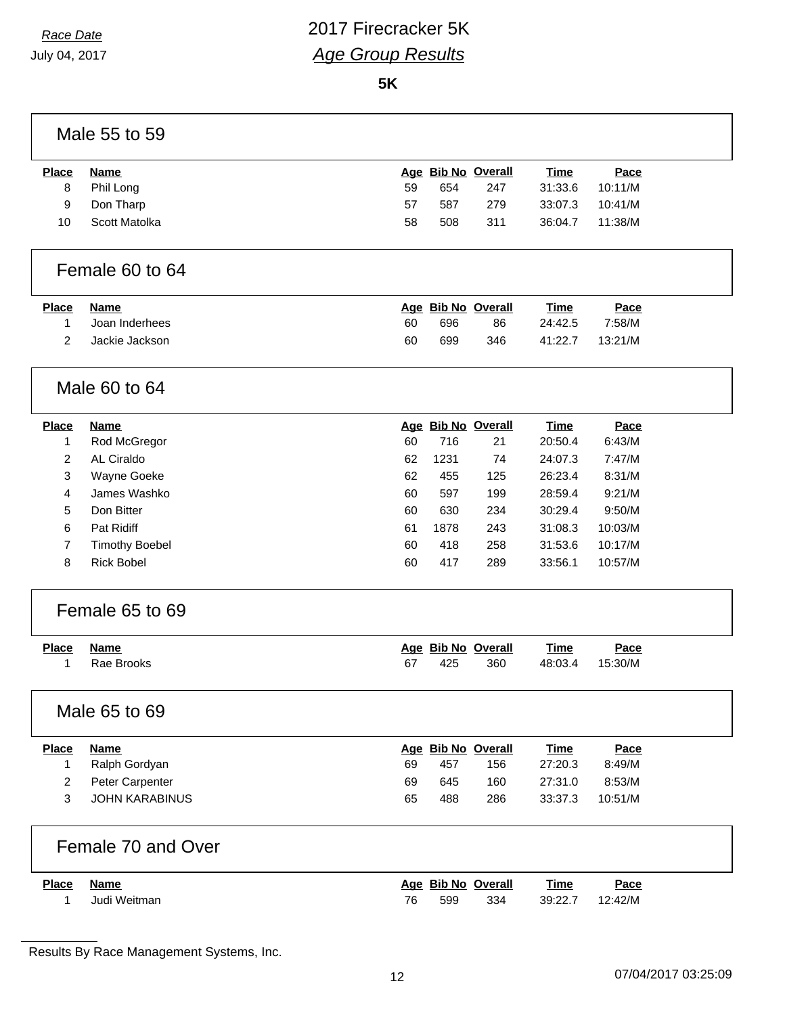**5K**

### Male 55 to 59

| <b>Place</b> | Name          |    | Age Bib No Overall |     | <u>Time</u> | <u>Pace</u> |
|--------------|---------------|----|--------------------|-----|-------------|-------------|
| 8            | Phil Long     | 59 | 654                | 247 | 31:33.6     | 10:11/M     |
| 9            | Don Tharp     | 57 | 587                | 279 | 33:07.3     | 10:41/M     |
| 10           | Scott Matolka | 58 | 508                | 311 | 36:04.7     | 11:38/M     |
|              |               |    |                    |     |             |             |

#### Female 60 to 64

| <u>Place</u> | Name           |    | Age Bib No Overall |     | Time    | <u>Pace</u> |
|--------------|----------------|----|--------------------|-----|---------|-------------|
|              | Joan Inderhees | 60 | 696                | 86  | 24:42.5 | 7:58/M      |
|              | Jackie Jackson | 60 | 699                | 346 | 41:22.7 | 13:21/M     |

## Male 60 to 64

| <b>Place</b> | Name              |    | Age Bib No Overall |     | <b>Time</b> | Pace    |
|--------------|-------------------|----|--------------------|-----|-------------|---------|
|              | Rod McGregor      | 60 | 716                | 21  | 20:50.4     | 6:43/M  |
| 2            | AL Ciraldo        | 62 | 1231               | 74  | 24:07.3     | 7:47/M  |
| 3            | Wayne Goeke       | 62 | 455                | 125 | 26:23.4     | 8:31/M  |
| 4            | James Washko      | 60 | 597                | 199 | 28:59.4     | 9:21/M  |
| 5            | Don Bitter        | 60 | 630                | 234 | 30:29.4     | 9:50/M  |
| 6            | Pat Ridiff        | 61 | 1878               | 243 | 31:08.3     | 10:03/M |
|              | Timothy Boebel    | 60 | 418                | 258 | 31:53.6     | 10:17/M |
| 8            | <b>Rick Bobel</b> | 60 | 417                | 289 | 33:56.1     | 10:57/M |
|              |                   |    |                    |     |             |         |

### Female 65 to 69

| Place Name |              |     | Age Bib No Overall | <u>Time</u> | Pace    |
|------------|--------------|-----|--------------------|-------------|---------|
|            | 1 Rae Brooks | 425 | 360                | 48:03.4     | 15:30/M |

#### Male 65 to 69

| <b>Place</b> | <b>Name</b>            |    |     | Age Bib No Overall | <u>Time</u> | <u>Pace</u> |  |
|--------------|------------------------|----|-----|--------------------|-------------|-------------|--|
|              | Ralph Gordyan          | 69 | 457 | 156                | 27:20.3     | 8:49/M      |  |
|              | <b>Peter Carpenter</b> | 69 | 645 | 160                | 27:31.0     | 8:53/M      |  |
|              | JOHN KARABINUS         | 65 | 488 | 286                | 33:37.3     | 10:51/M     |  |

### Female 70 and Over

| <b>Place</b> | Name         |    |     | Age Bib No Overall | Time    | Pace    |
|--------------|--------------|----|-----|--------------------|---------|---------|
|              | Judi Weitman | 76 | 599 | 334                | 39:22.7 | 12:42/M |